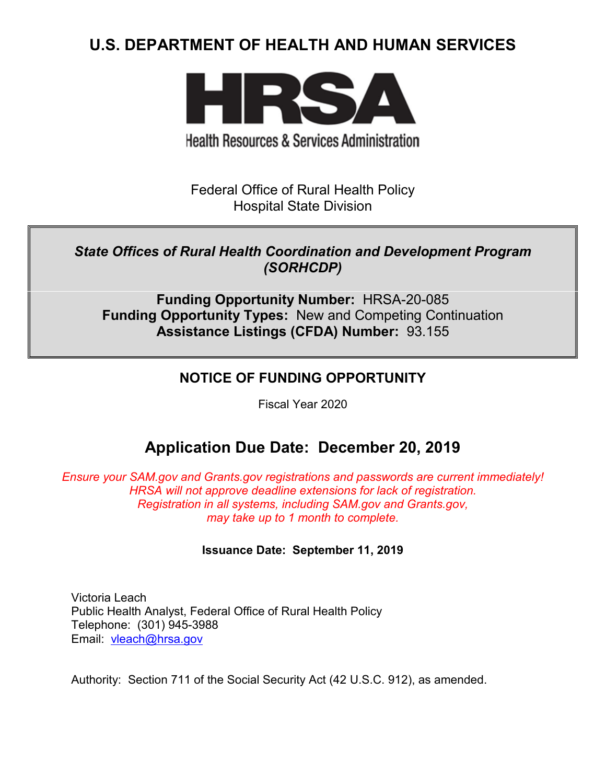# **U.S. DEPARTMENT OF HEALTH AND HUMAN SERVICES**



**Health Resources & Services Administration** 

Federal Office of Rural Health Policy Hospital State Division

## *State Offices of Rural Health Coordination and Development Program (SORHCDP)*

**Funding Opportunity Number:** HRSA-20-085 **Funding Opportunity Types:** New and Competing Continuation **Assistance Listings (CFDA) Number:** 93.155

## **NOTICE OF FUNDING OPPORTUNITY**

Fiscal Year 2020

# **Application Due Date: December 20, 2019**

*Ensure your SAM.gov and Grants.gov registrations and passwords are current immediately! HRSA will not approve deadline extensions for lack of registration. Registration in all systems, including SAM.gov and Grants.gov, may take up to 1 month to complete.*

## **Issuance Date:****September 11, 2019**

Victoria Leach Public Health Analyst, Federal Office of Rural Health Policy Telephone: (301) 945-3988 Email: [vleach@hrsa.gov](mailto:vleach@hrsa.gov)

Authority: Section 711 of the Social Security Act (42 U.S.C. 912), as amended.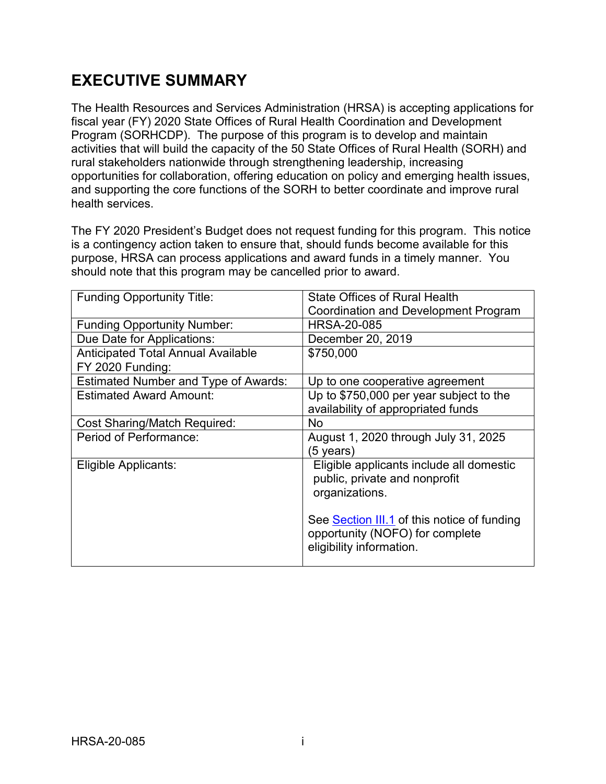# **EXECUTIVE SUMMARY**

The Health Resources and Services Administration (HRSA) is accepting applications for fiscal year (FY) 2020 State Offices of Rural Health Coordination and Development Program (SORHCDP). The purpose of this program is to develop and maintain activities that will build the capacity of the 50 State Offices of Rural Health (SORH) and rural stakeholders nationwide through strengthening leadership, increasing opportunities for collaboration, offering education on policy and emerging health issues, and supporting the core functions of the SORH to better coordinate and improve rural health services.

The FY 2020 President's Budget does not request funding for this program. This notice is a contingency action taken to ensure that, should funds become available for this purpose, HRSA can process applications and award funds in a timely manner. You should note that this program may be cancelled prior to award.

| <b>Funding Opportunity Title:</b>           | <b>State Offices of Rural Health</b>        |
|---------------------------------------------|---------------------------------------------|
|                                             | Coordination and Development Program        |
| <b>Funding Opportunity Number:</b>          | <b>HRSA-20-085</b>                          |
| Due Date for Applications:                  | December 20, 2019                           |
| <b>Anticipated Total Annual Available</b>   | \$750,000                                   |
| FY 2020 Funding:                            |                                             |
| <b>Estimated Number and Type of Awards:</b> | Up to one cooperative agreement             |
| <b>Estimated Award Amount:</b>              | Up to \$750,000 per year subject to the     |
|                                             | availability of appropriated funds          |
| <b>Cost Sharing/Match Required:</b>         | <b>No</b>                                   |
| Period of Performance:                      | August 1, 2020 through July 31, 2025        |
|                                             | (5 years)                                   |
| Eligible Applicants:                        | Eligible applicants include all domestic    |
|                                             | public, private and nonprofit               |
|                                             | organizations.                              |
|                                             |                                             |
|                                             | See Section III.1 of this notice of funding |
|                                             | opportunity (NOFO) for complete             |
|                                             | eligibility information.                    |
|                                             |                                             |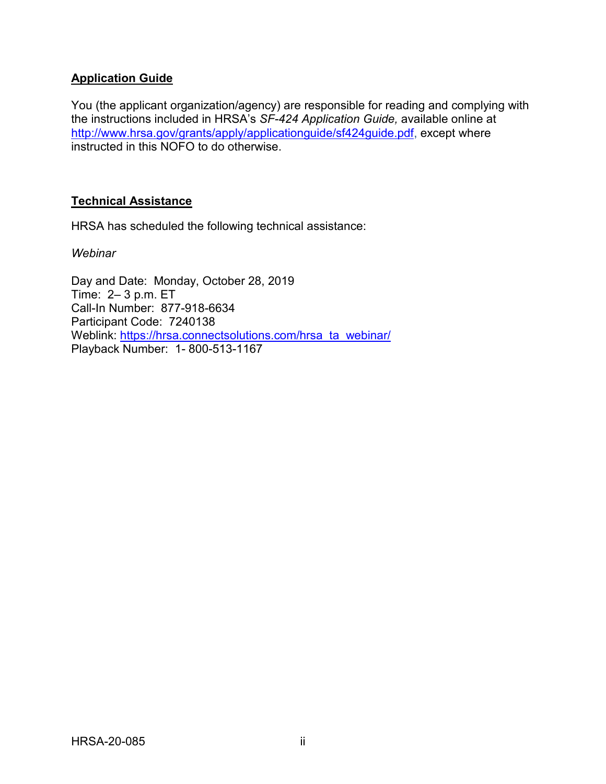## **Application Guide**

You (the applicant organization/agency) are responsible for reading and complying with the instructions included in HRSA's *SF-424 Application Guide,* available online at [http://www.hrsa.gov/grants/apply/applicationguide/sf424guide.pdf,](http://www.hrsa.gov/grants/apply/applicationguide/sf424guide.pdf) except where instructed in this NOFO to do otherwise.

### **Technical Assistance**

HRSA has scheduled the following technical assistance:

*Webinar*

Day and Date: Monday, October 28, 2019 Time: 2– 3 p.m. ET Call-In Number: 877-918-6634 Participant Code: 7240138 Weblink: [https://hrsa.connectsolutions.com/hrsa\\_ta\\_webinar/](https://hrsa.connectsolutions.com/hrsa_ta_webinar/) Playback Number: 1- 800-513-1167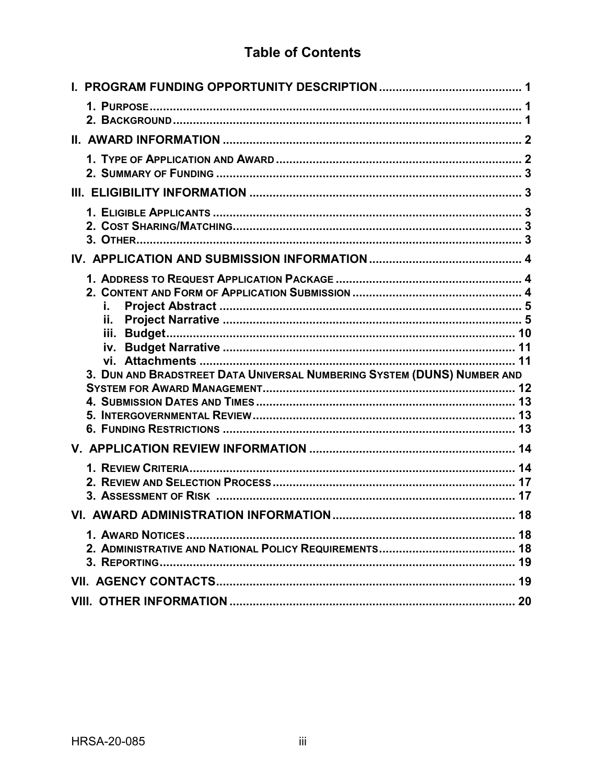# **Table of Contents**

| i.<br>ii.                                                               |    |
|-------------------------------------------------------------------------|----|
| 3. DUN AND BRADSTREET DATA UNIVERSAL NUMBERING SYSTEM (DUNS) NUMBER AND |    |
|                                                                         |    |
|                                                                         |    |
| 3. ASSESSMENT OF RISK ……………………………………………………………………………… 17                 |    |
|                                                                         |    |
|                                                                         | 18 |
|                                                                         |    |
|                                                                         |    |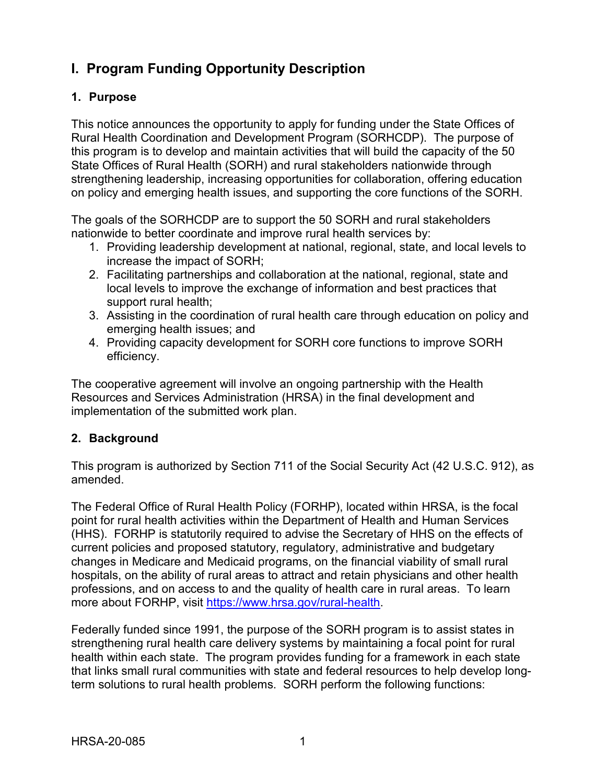# <span id="page-4-0"></span>**I. Program Funding Opportunity Description**

## <span id="page-4-1"></span>**1. Purpose**

This notice announces the opportunity to apply for funding under the State Offices of Rural Health Coordination and Development Program (SORHCDP). The purpose of this program is to develop and maintain activities that will build the capacity of the 50 State Offices of Rural Health (SORH) and rural stakeholders nationwide through strengthening leadership, increasing opportunities for collaboration, offering education on policy and emerging health issues, and supporting the core functions of the SORH.

The goals of the SORHCDP are to support the 50 SORH and rural stakeholders nationwide to better coordinate and improve rural health services by:

- 1. Providing leadership development at national, regional, state, and local levels to increase the impact of SORH;
- 2. Facilitating partnerships and collaboration at the national, regional, state and local levels to improve the exchange of information and best practices that support rural health;
- 3. Assisting in the coordination of rural health care through education on policy and emerging health issues; and
- 4. Providing capacity development for SORH core functions to improve SORH efficiency.

The cooperative agreement will involve an ongoing partnership with the Health Resources and Services Administration (HRSA) in the final development and implementation of the submitted work plan.

## <span id="page-4-2"></span>**2. Background**

This program is authorized by Section 711 of the Social Security Act (42 U.S.C. 912), as amended.

The Federal Office of Rural Health Policy (FORHP), located within HRSA, is the focal point for rural health activities within the Department of Health and Human Services (HHS). FORHP is statutorily required to advise the Secretary of HHS on the effects of current policies and proposed statutory, regulatory, administrative and budgetary changes in Medicare and Medicaid programs, on the financial viability of small rural hospitals, on the ability of rural areas to attract and retain physicians and other health professions, and on access to and the quality of health care in rural areas. To learn more about FORHP, visit [https://www.hrsa.gov/rural-health.](https://www.hrsa.gov/rural-health)

Federally funded since 1991, the purpose of the SORH program is to assist states in strengthening rural health care delivery systems by maintaining a focal point for rural health within each state. The program provides funding for a framework in each state that links small rural communities with state and federal resources to help develop longterm solutions to rural health problems. SORH perform the following functions: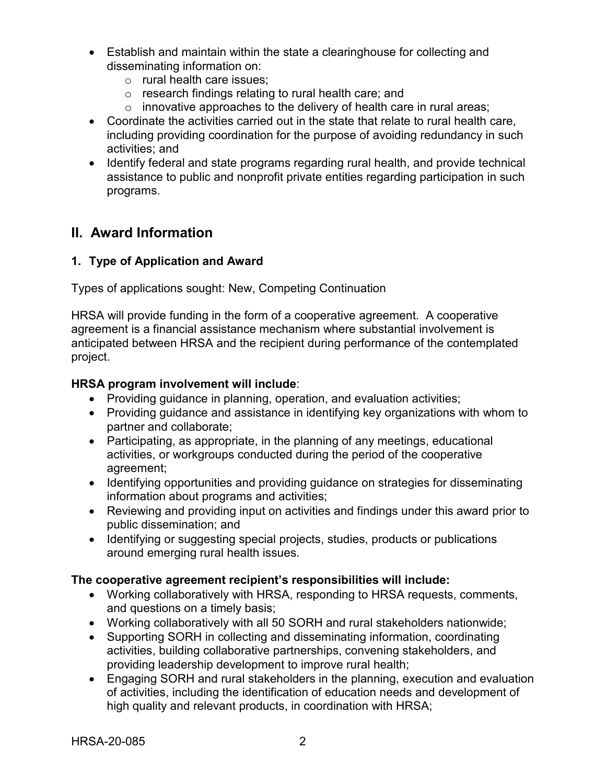- Establish and maintain within the state a clearinghouse for collecting and disseminating information on:
	- o rural health care issues;
	- o research findings relating to rural health care; and
	- $\circ$  innovative approaches to the delivery of health care in rural areas;
- Coordinate the activities carried out in the state that relate to rural health care, including providing coordination for the purpose of avoiding redundancy in such activities; and
- Identify federal and state programs regarding rural health, and provide technical assistance to public and nonprofit private entities regarding participation in such programs.

## <span id="page-5-0"></span>**II. Award Information**

## <span id="page-5-1"></span>**1. Type of Application and Award**

Types of applications sought: New, Competing Continuation

HRSA will provide funding in the form of a cooperative agreement. A cooperative agreement is a financial assistance mechanism where substantial involvement is anticipated between HRSA and the recipient during performance of the contemplated project.

#### **HRSA program involvement will include**:

- Providing guidance in planning, operation, and evaluation activities;
- Providing guidance and assistance in identifying key organizations with whom to partner and collaborate;
- Participating, as appropriate, in the planning of any meetings, educational activities, or workgroups conducted during the period of the cooperative agreement;
- Identifying opportunities and providing guidance on strategies for disseminating information about programs and activities;
- Reviewing and providing input on activities and findings under this award prior to public dissemination; and
- Identifying or suggesting special projects, studies, products or publications around emerging rural health issues.

#### **The cooperative agreement recipient's responsibilities will include:**

- Working collaboratively with HRSA, responding to HRSA requests, comments, and questions on a timely basis;
- Working collaboratively with all 50 SORH and rural stakeholders nationwide;
- Supporting SORH in collecting and disseminating information, coordinating activities, building collaborative partnerships, convening stakeholders, and providing leadership development to improve rural health;
- Engaging SORH and rural stakeholders in the planning, execution and evaluation of activities, including the identification of education needs and development of high quality and relevant products, in coordination with HRSA;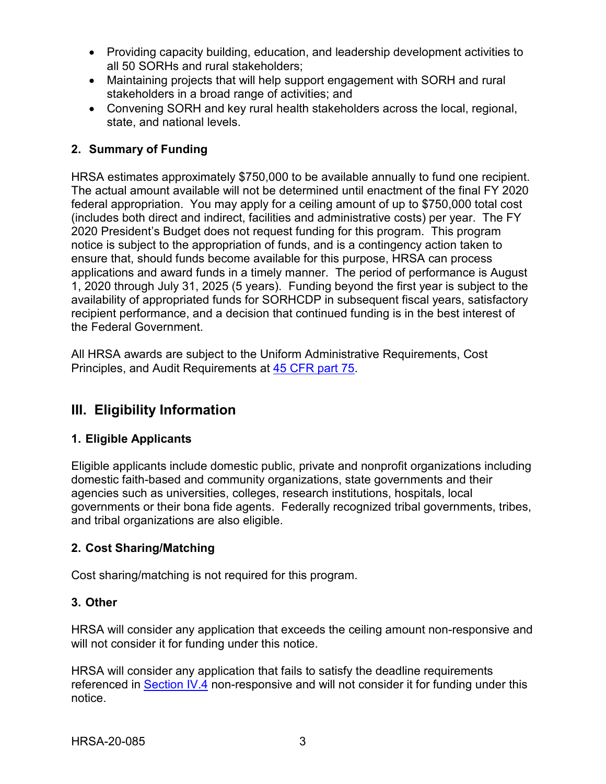- Providing capacity building, education, and leadership development activities to all 50 SORHs and rural stakeholders;
- Maintaining projects that will help support engagement with SORH and rural stakeholders in a broad range of activities; and
- Convening SORH and key rural health stakeholders across the local, regional, state, and national levels.

## <span id="page-6-1"></span>**2. Summary of Funding**

HRSA estimates approximately \$750,000 to be available annually to fund one recipient. The actual amount available will not be determined until enactment of the final FY 2020 federal appropriation. You may apply for a ceiling amount of up to \$750,000 total cost (includes both direct and indirect, facilities and administrative costs) per year. The FY 2020 President's Budget does not request funding for this program. This program notice is subject to the appropriation of funds, and is a contingency action taken to ensure that, should funds become available for this purpose, HRSA can process applications and award funds in a timely manner. The period of performance is August 1, 2020 through July 31, 2025 (5 years). Funding beyond the first year is subject to the availability of appropriated funds for SORHCDP in subsequent fiscal years, satisfactory recipient performance, and a decision that continued funding is in the best interest of the Federal Government.

All HRSA awards are subject to the Uniform Administrative Requirements, Cost Principles, and Audit Requirements at [45 CFR part 75.](http://www.ecfr.gov/cgi-bin/retrieveECFR?gp=1&SID=4d52364ec83fab994c665943dadf9cf7&ty=HTML&h=L&r=PART&n=pt45.1.75)

## <span id="page-6-2"></span>**III. Eligibility Information**

## <span id="page-6-0"></span>**1. Eligible Applicants**

Eligible applicants include domestic public, private and nonprofit organizations including domestic faith-based and community organizations, state governments and their agencies such as universities, colleges, research institutions, hospitals, local governments or their bona fide agents. Federally recognized tribal governments, tribes, and tribal organizations are also eligible.

## <span id="page-6-3"></span>**2. Cost Sharing/Matching**

Cost sharing/matching is not required for this program.

## <span id="page-6-4"></span>**3. Other**

HRSA will consider any application that exceeds the ceiling amount non-responsive and will not consider it for funding under this notice.

HRSA will consider any application that fails to satisfy the deadline requirements referenced in [Section IV.4](#page-16-0) non-responsive and will not consider it for funding under this notice.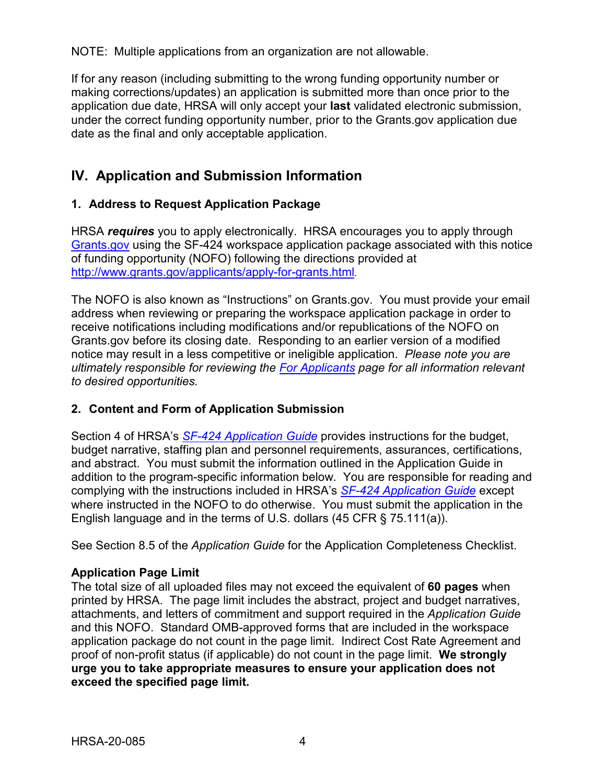NOTE: Multiple applications from an organization are not allowable.

If for any reason (including submitting to the wrong funding opportunity number or making corrections/updates) an application is submitted more than once prior to the application due date, HRSA will only accept your **last** validated electronic submission, under the correct funding opportunity number, prior to the Grants.gov application due date as the final and only acceptable application.

## <span id="page-7-0"></span>**IV. Application and Submission Information**

## <span id="page-7-1"></span>**1. Address to Request Application Package**

HRSA *requires* you to apply electronically. HRSA encourages you to apply through [Grants.gov](https://www.grants.gov/) using the SF-424 workspace application package associated with this notice of funding opportunity (NOFO) following the directions provided at [http://www.grants.gov/applicants/apply-for-grants.html.](http://www.grants.gov/applicants/apply-for-grants.html)

The NOFO is also known as "Instructions" on Grants.gov. You must provide your email address when reviewing or preparing the workspace application package in order to receive notifications including modifications and/or republications of the NOFO on Grants.gov before its closing date. Responding to an earlier version of a modified notice may result in a less competitive or ineligible application. *Please note you are ultimately responsible for reviewing the [For Applicants](https://www.grants.gov/web/grants/applicants.html) page for all information relevant to desired opportunities.*

## <span id="page-7-2"></span>**2. Content and Form of Application Submission**

Section 4 of HRSA's *SF-424 [Application Guide](http://www.hrsa.gov/grants/apply/applicationguide/sf424guide.pdf)* provides instructions for the budget, budget narrative, staffing plan and personnel requirements, assurances, certifications, and abstract. You must submit the information outlined in the Application Guide in addition to the program-specific information below. You are responsible for reading and complying with the instructions included in HRSA's *SF-424 [Application Guide](http://www.hrsa.gov/grants/apply/applicationguide/sf424guide.pdf)* except where instructed in the NOFO to do otherwise. You must submit the application in the English language and in the terms of U.S. dollars (45 CFR § 75.111(a)).

See Section 8.5 of the *Application Guide* for the Application Completeness Checklist.

## **Application Page Limit**

The total size of all uploaded files may not exceed the equivalent of **60 pages** when printed by HRSA. The page limit includes the abstract, project and budget narratives, attachments, and letters of commitment and support required in the *Application Guide* and this NOFO. Standard OMB-approved forms that are included in the workspace application package do not count in the page limit. Indirect Cost Rate Agreement and proof of non-profit status (if applicable) do not count in the page limit. **We strongly urge you to take appropriate measures to ensure your application does not exceed the specified page limit.**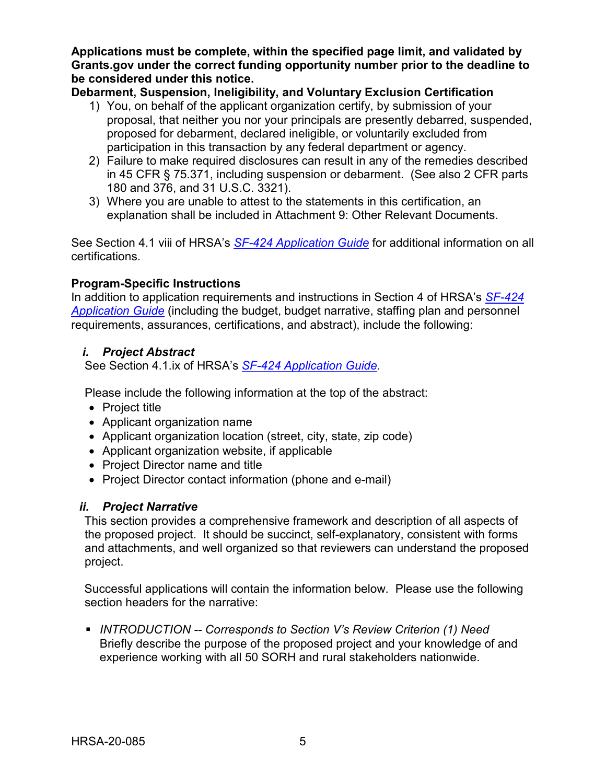**Applications must be complete, within the specified page limit, and validated by Grants.gov under the correct funding opportunity number prior to the deadline to be considered under this notice.**

**Debarment, Suspension, Ineligibility, and Voluntary Exclusion Certification**

- 1) You, on behalf of the applicant organization certify, by submission of your proposal, that neither you nor your principals are presently debarred, suspended, proposed for debarment, declared ineligible, or voluntarily excluded from participation in this transaction by any federal department or agency.
- 2) Failure to make required disclosures can result in any of the remedies described in 45 CFR § 75.371, including suspension or debarment. (See also 2 CFR parts 180 and 376, and 31 U.S.C. 3321).
- 3) Where you are unable to attest to the statements in this certification, an explanation shall be included in Attachment 9: Other Relevant Documents.

See Section 4.1 viii of HRSA's *SF-424 [Application Guide](http://www.hrsa.gov/grants/apply/applicationguide/sf424guide.pdf)* for additional information on all certifications.

## **Program-Specific Instructions**

In addition to application requirements and instructions in Section 4 of HRSA's *[SF-424](http://www.hrsa.gov/grants/apply/applicationguide/sf424guide.pdf) [Application Guide](http://www.hrsa.gov/grants/apply/applicationguide/sf424guide.pdf)* (including the budget, budget narrative, staffing plan and personnel requirements, assurances, certifications, and abstract), include the following:

## <span id="page-8-0"></span>*i. Project Abstract*

See Section 4.1.ix of HRSA's *SF-424 [Application Guide.](http://www.hrsa.gov/grants/apply/applicationguide/sf424guide.pdf)*

Please include the following information at the top of the abstract:

- Project title
- Applicant organization name
- Applicant organization location (street, city, state, zip code)
- Applicant organization website, if applicable
- Project Director name and title
- Project Director contact information (phone and e-mail)

## <span id="page-8-1"></span>*ii. Project Narrative*

This section provides a comprehensive framework and description of all aspects of the proposed project. It should be succinct, self-explanatory, consistent with forms and attachments, and well organized so that reviewers can understand the proposed project.

Successful applications will contain the information below. Please use the following section headers for the narrative:

 *INTRODUCTION -- Corresponds to Section V's Review Criterion (1) Need*  Briefly describe the purpose of the proposed project and your knowledge of and experience working with all 50 SORH and rural stakeholders nationwide.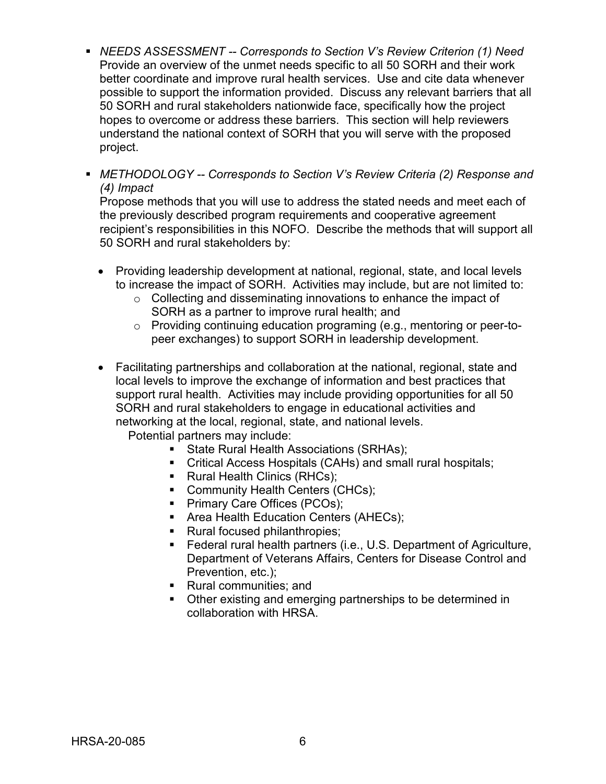- *NEEDS ASSESSMENT -- Corresponds to Section V's Review Criterion (1) Need* Provide an overview of the unmet needs specific to all 50 SORH and their work better coordinate and improve rural health services. Use and cite data whenever possible to support the information provided. Discuss any relevant barriers that all 50 SORH and rural stakeholders nationwide face, specifically how the project hopes to overcome or address these barriers. This section will help reviewers understand the national context of SORH that you will serve with the proposed project.
- *METHODOLOGY -- Corresponds to Section V's Review Criteria (2) Response and (4) Impact*

Propose methods that you will use to address the stated needs and meet each of the previously described program requirements and cooperative agreement recipient's responsibilities in this NOFO. Describe the methods that will support all 50 SORH and rural stakeholders by:

- Providing leadership development at national, regional, state, and local levels to increase the impact of SORH. Activities may include, but are not limited to:
	- o Collecting and disseminating innovations to enhance the impact of SORH as a partner to improve rural health; and
	- o Providing continuing education programing (e.g., mentoring or peer-topeer exchanges) to support SORH in leadership development.
- Facilitating partnerships and collaboration at the national, regional, state and local levels to improve the exchange of information and best practices that support rural health. Activities may include providing opportunities for all 50 SORH and rural stakeholders to engage in educational activities and networking at the local, regional, state, and national levels.

Potential partners may include:

- State Rural Health Associations (SRHAs);
- Critical Access Hospitals (CAHs) and small rural hospitals;
- **Rural Health Clinics (RHCs);**
- Community Health Centers (CHCs);
- **Primary Care Offices (PCOs);**
- **Area Health Education Centers (AHECs);**
- Rural focused philanthropies;
- Federal rural health partners (i.e., U.S. Department of Agriculture, Department of Veterans Affairs, Centers for Disease Control and Prevention, etc.);
- Rural communities; and
- Other existing and emerging partnerships to be determined in collaboration with HRSA.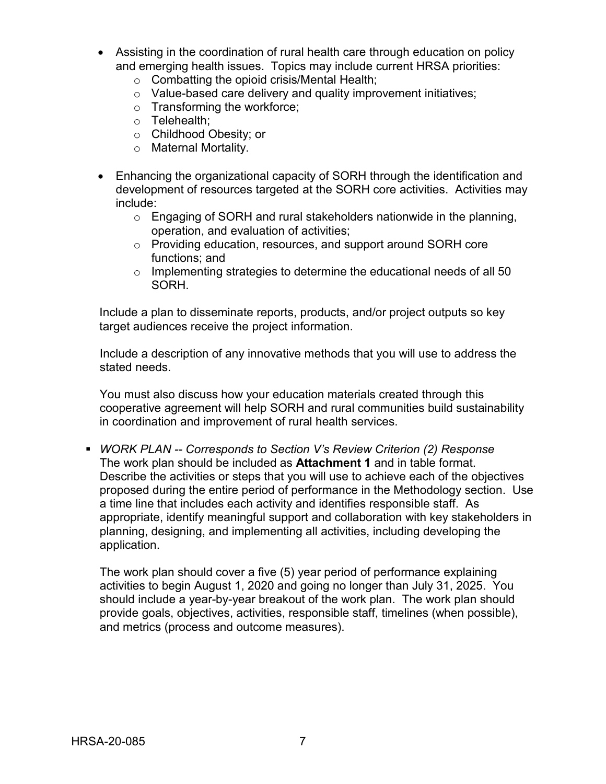- Assisting in the coordination of rural health care through education on policy and emerging health issues. Topics may include current HRSA priorities:
	- o Combatting the opioid crisis/Mental Health;
	- o Value-based care delivery and quality improvement initiatives;
	- o Transforming the workforce;
	- o Telehealth;
	- o Childhood Obesity; or
	- o Maternal Mortality.
- Enhancing the organizational capacity of SORH through the identification and development of resources targeted at the SORH core activities. Activities may include:
	- o Engaging of SORH and rural stakeholders nationwide in the planning, operation, and evaluation of activities;
	- o Providing education, resources, and support around SORH core functions; and
	- $\circ$  Implementing strategies to determine the educational needs of all 50 SORH.

Include a plan to disseminate reports, products, and/or project outputs so key target audiences receive the project information.

Include a description of any innovative methods that you will use to address the stated needs.

You must also discuss how your education materials created through this cooperative agreement will help SORH and rural communities build sustainability in coordination and improvement of rural health services.

 *WORK PLAN -- Corresponds to Section V's Review Criterion (2) Response* The work plan should be included as **Attachment 1** and in table format. Describe the activities or steps that you will use to achieve each of the objectives proposed during the entire period of performance in the Methodology section. Use a time line that includes each activity and identifies responsible staff. As appropriate, identify meaningful support and collaboration with key stakeholders in planning, designing, and implementing all activities, including developing the application.

The work plan should cover a five (5) year period of performance explaining activities to begin August 1, 2020 and going no longer than July 31, 2025. You should include a year-by-year breakout of the work plan. The work plan should provide goals, objectives, activities, responsible staff, timelines (when possible), and metrics (process and outcome measures).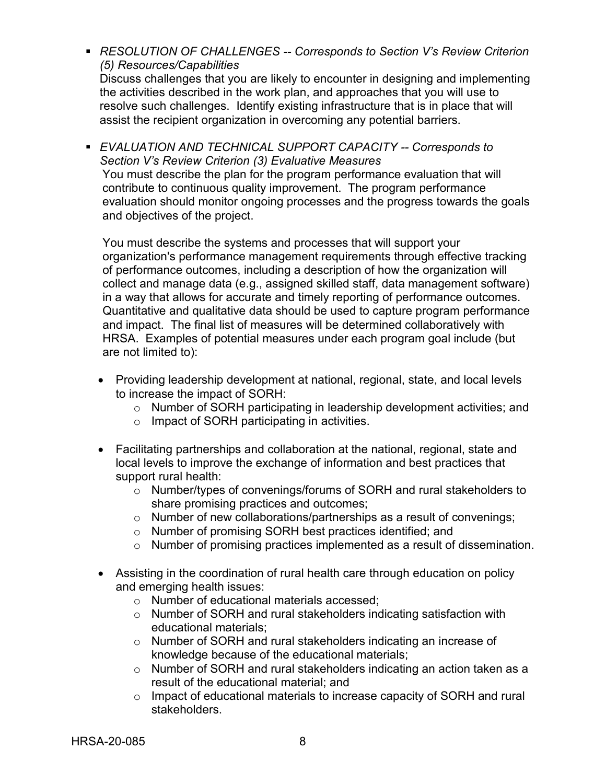- *RESOLUTION OF CHALLENGES -- Corresponds to Section V's Review Criterion (5) Resources/Capabilities*  Discuss challenges that you are likely to encounter in designing and implementing the activities described in the work plan, and approaches that you will use to resolve such challenges. Identify existing infrastructure that is in place that will assist the recipient organization in overcoming any potential barriers.
- *EVALUATION AND TECHNICAL SUPPORT CAPACITY -- Corresponds to Section V's Review Criterion (3) Evaluative Measures*  You must describe the plan for the program performance evaluation that will contribute to continuous quality improvement. The program performance evaluation should monitor ongoing processes and the progress towards the goals and objectives of the project.

You must describe the systems and processes that will support your organization's performance management requirements through effective tracking of performance outcomes, including a description of how the organization will collect and manage data (e.g., assigned skilled staff, data management software) in a way that allows for accurate and timely reporting of performance outcomes. Quantitative and qualitative data should be used to capture program performance and impact. The final list of measures will be determined collaboratively with HRSA. Examples of potential measures under each program goal include (but are not limited to):

- Providing leadership development at national, regional, state, and local levels to increase the impact of SORH:
	- o Number of SORH participating in leadership development activities; and
	- o Impact of SORH participating in activities.
- Facilitating partnerships and collaboration at the national, regional, state and local levels to improve the exchange of information and best practices that support rural health:
	- o Number/types of convenings/forums of SORH and rural stakeholders to share promising practices and outcomes;
	- o Number of new collaborations/partnerships as a result of convenings;
	- o Number of promising SORH best practices identified; and
	- o Number of promising practices implemented as a result of dissemination.
- Assisting in the coordination of rural health care through education on policy and emerging health issues:
	- o Number of educational materials accessed;
	- o Number of SORH and rural stakeholders indicating satisfaction with educational materials;
	- o Number of SORH and rural stakeholders indicating an increase of knowledge because of the educational materials;
	- o Number of SORH and rural stakeholders indicating an action taken as a result of the educational material; and
	- o Impact of educational materials to increase capacity of SORH and rural stakeholders.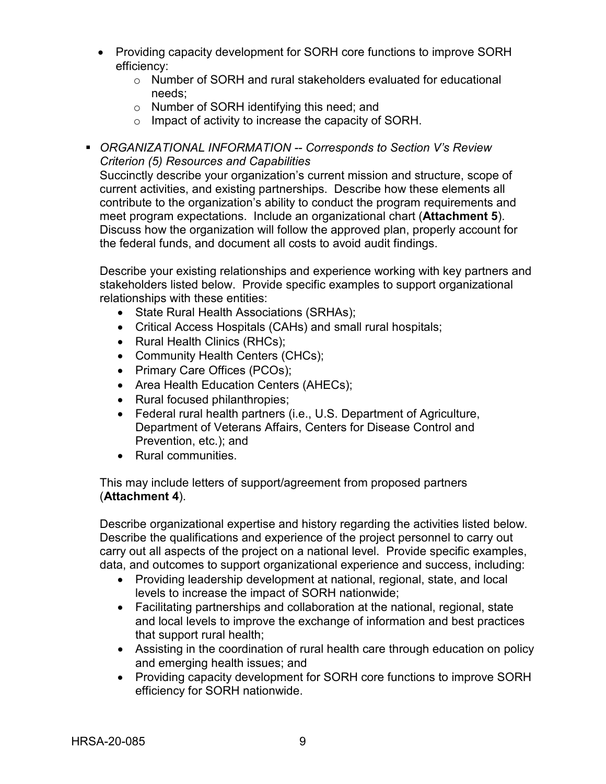- Providing capacity development for SORH core functions to improve SORH efficiency:
	- o Number of SORH and rural stakeholders evaluated for educational needs;
	- o Number of SORH identifying this need; and
	- o Impact of activity to increase the capacity of SORH.
- *ORGANIZATIONAL INFORMATION -- Corresponds to Section V's Review Criterion (5) Resources and Capabilities*

Succinctly describe your organization's current mission and structure, scope of current activities, and existing partnerships. Describe how these elements all contribute to the organization's ability to conduct the program requirements and meet program expectations. Include an organizational chart (**Attachment 5**). Discuss how the organization will follow the approved plan, properly account for the federal funds, and document all costs to avoid audit findings.

Describe your existing relationships and experience working with key partners and stakeholders listed below. Provide specific examples to support organizational relationships with these entities:

- State Rural Health Associations (SRHAs);
- Critical Access Hospitals (CAHs) and small rural hospitals;
- Rural Health Clinics (RHCs);
- Community Health Centers (CHCs);
- Primary Care Offices (PCOs);
- Area Health Education Centers (AHECs);
- Rural focused philanthropies;
- Federal rural health partners (i.e., U.S. Department of Agriculture, Department of Veterans Affairs, Centers for Disease Control and Prevention, etc.); and
- Rural communities.

This may include letters of support/agreement from proposed partners (**Attachment 4**).

Describe organizational expertise and history regarding the activities listed below. Describe the qualifications and experience of the project personnel to carry out carry out all aspects of the project on a national level. Provide specific examples, data, and outcomes to support organizational experience and success, including:

- Providing leadership development at national, regional, state, and local levels to increase the impact of SORH nationwide;
- Facilitating partnerships and collaboration at the national, regional, state and local levels to improve the exchange of information and best practices that support rural health;
- Assisting in the coordination of rural health care through education on policy and emerging health issues; and
- Providing capacity development for SORH core functions to improve SORH efficiency for SORH nationwide.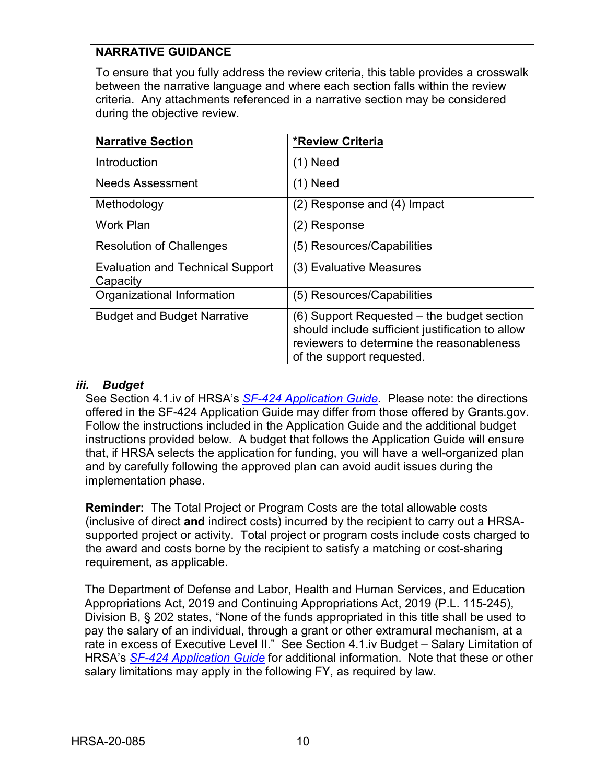## **NARRATIVE GUIDANCE**

To ensure that you fully address the review criteria, this table provides a crosswalk between the narrative language and where each section falls within the review criteria. Any attachments referenced in a narrative section may be considered during the objective review.

| <b>Narrative Section</b>                            | <b>*Review Criteria</b>                                                                                                                                                  |
|-----------------------------------------------------|--------------------------------------------------------------------------------------------------------------------------------------------------------------------------|
| <b>Introduction</b>                                 | (1) Need                                                                                                                                                                 |
| Needs Assessment                                    | (1) Need                                                                                                                                                                 |
| Methodology                                         | (2) Response and (4) Impact                                                                                                                                              |
| <b>Work Plan</b>                                    | (2) Response                                                                                                                                                             |
| <b>Resolution of Challenges</b>                     | (5) Resources/Capabilities                                                                                                                                               |
| <b>Evaluation and Technical Support</b><br>Capacity | (3) Evaluative Measures                                                                                                                                                  |
| Organizational Information                          | (5) Resources/Capabilities                                                                                                                                               |
| <b>Budget and Budget Narrative</b>                  | (6) Support Requested – the budget section<br>should include sufficient justification to allow<br>reviewers to determine the reasonableness<br>of the support requested. |

## <span id="page-13-0"></span>*iii. Budget*

See Section 4.1.iv of HRSA's *SF-424 [Application Guide.](http://www.hrsa.gov/grants/apply/applicationguide/sf424guide.pdf)* Please note: the directions offered in the SF-424 Application Guide may differ from those offered by Grants.gov. Follow the instructions included in the Application Guide and the additional budget instructions provided below. A budget that follows the Application Guide will ensure that, if HRSA selects the application for funding, you will have a well-organized plan and by carefully following the approved plan can avoid audit issues during the implementation phase.

**Reminder:** The Total Project or Program Costs are the total allowable costs (inclusive of direct **and** indirect costs) incurred by the recipient to carry out a HRSAsupported project or activity. Total project or program costs include costs charged to the award and costs borne by the recipient to satisfy a matching or cost-sharing requirement, as applicable.

<span id="page-13-1"></span>The Department of Defense and Labor, Health and Human Services, and Education Appropriations Act, 2019 and Continuing Appropriations Act, 2019 (P.L. 115-245), Division B, § 202 states, "None of the funds appropriated in this title shall be used to pay the salary of an individual, through a grant or other extramural mechanism, at a rate in excess of Executive Level II." See Section 4.1.iv Budget – Salary Limitation of HRSA's *SF-424 [Application Guide](http://www.hrsa.gov/grants/apply/applicationguide/sf424guide.pdf)* for additional information. Note that these or other salary limitations may apply in the following FY, as required by law.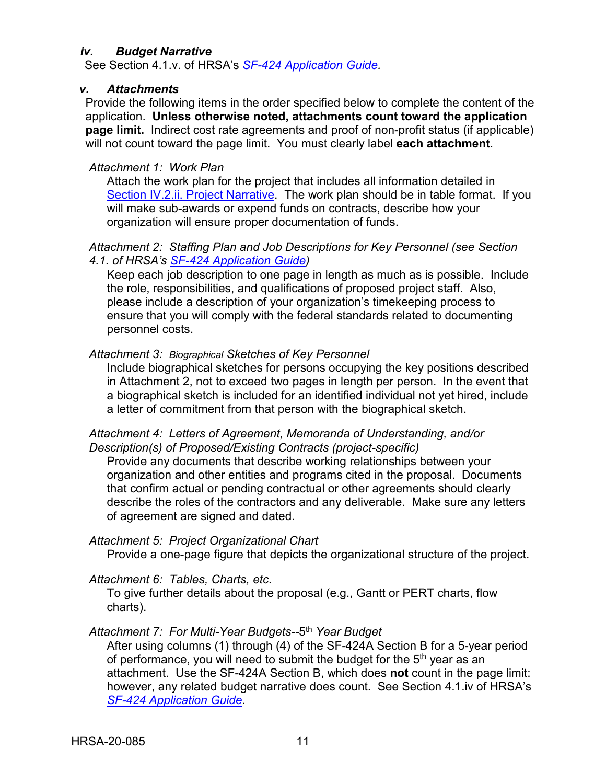#### *iv. Budget Narrative*

See Section 4.1.v. of HRSA's *SF-424 [Application Guide.](http://www.hrsa.gov/grants/apply/applicationguide/sf424guide.pdf)*

#### <span id="page-14-0"></span>*v. Attachments*

Provide the following items in the order specified below to complete the content of the application. **Unless otherwise noted, attachments count toward the application page limit.** Indirect cost rate agreements and proof of non-profit status (if applicable) will not count toward the page limit. You must clearly label **each attachment**.

#### *Attachment 1: Work Plan*

Attach the work plan for the project that includes all information detailed in [Section IV.2.ii. Project Narrative.](#page-8-1) The work plan should be in table format. If you will make sub-awards or expend funds on contracts, describe how your organization will ensure proper documentation of funds.

#### *Attachment 2: Staffing Plan and Job Descriptions for Key Personnel (see Section 4.1. of HRSA's SF-424 [Application Guide\)](http://www.hrsa.gov/grants/apply/applicationguide/sf424guide.pdf)*

Keep each job description to one page in length as much as is possible. Include the role, responsibilities, and qualifications of proposed project staff. Also, please include a description of your organization's timekeeping process to ensure that you will comply with the federal standards related to documenting personnel costs.

#### *Attachment 3: Biographical Sketches of Key Personnel*

Include biographical sketches for persons occupying the key positions described in Attachment 2, not to exceed two pages in length per person. In the event that a biographical sketch is included for an identified individual not yet hired, include a letter of commitment from that person with the biographical sketch.

#### *Attachment 4: Letters of Agreement, Memoranda of Understanding, and/or Description(s) of Proposed/Existing Contracts (project-specific)*

Provide any documents that describe working relationships between your organization and other entities and programs cited in the proposal. Documents that confirm actual or pending contractual or other agreements should clearly describe the roles of the contractors and any deliverable. Make sure any letters of agreement are signed and dated.

### *Attachment 5: Project Organizational Chart*

Provide a one-page figure that depicts the organizational structure of the project.

#### *Attachment 6: Tables, Charts, etc.*

To give further details about the proposal (e.g., Gantt or PERT charts, flow charts).

## *Attachment 7: For Multi-Year Budgets--*5th *Year Budget*

After using columns (1) through (4) of the SF-424A Section B for a 5-year period of performance, you will need to submit the budget for the 5<sup>th</sup> year as an attachment. Use the SF-424A Section B, which does **not** count in the page limit: however, any related budget narrative does count. See Section 4.1.iv of HRSA's *SF-424 [Application Guide.](http://www.hrsa.gov/grants/apply/applicationguide/sf424guide.pdf)*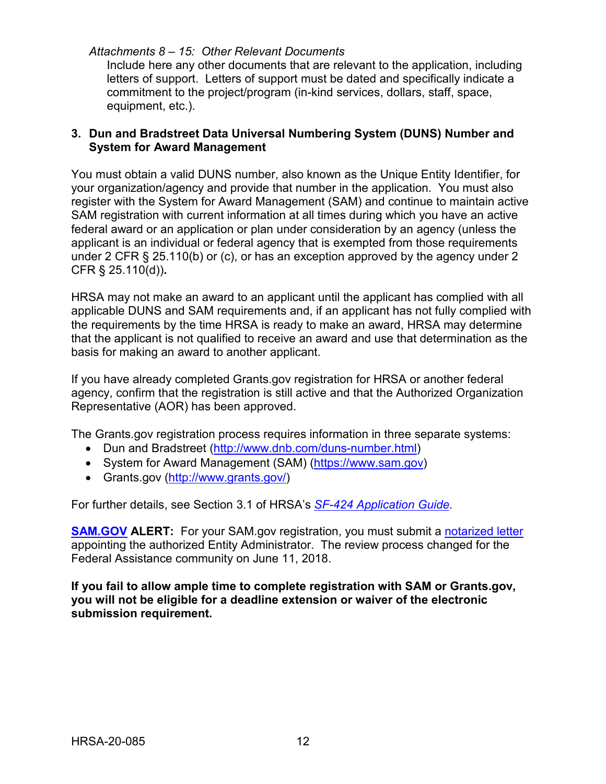#### *Attachments 8 – 15: Other Relevant Documents*

Include here any other documents that are relevant to the application, including letters of support. Letters of support must be dated and specifically indicate a commitment to the project/program (in-kind services, dollars, staff, space, equipment, etc.).

### <span id="page-15-0"></span>**3. Dun and Bradstreet Data Universal Numbering System (DUNS) Number and System for Award Management**

You must obtain a valid DUNS number, also known as the Unique Entity Identifier, for your organization/agency and provide that number in the application. You must also register with the System for Award Management (SAM) and continue to maintain active SAM registration with current information at all times during which you have an active federal award or an application or plan under consideration by an agency (unless the applicant is an individual or federal agency that is exempted from those requirements under 2 CFR § 25.110(b) or (c), or has an exception approved by the agency under 2 CFR § 25.110(d))**.**

HRSA may not make an award to an applicant until the applicant has complied with all applicable DUNS and SAM requirements and, if an applicant has not fully complied with the requirements by the time HRSA is ready to make an award, HRSA may determine that the applicant is not qualified to receive an award and use that determination as the basis for making an award to another applicant.

If you have already completed Grants.gov registration for HRSA or another federal agency, confirm that the registration is still active and that the Authorized Organization Representative (AOR) has been approved.

The Grants.gov registration process requires information in three separate systems:

- Dun and Bradstreet [\(http://www.dnb.com/duns-number.html\)](http://www.dnb.com/duns-number.html)
- System for Award Management (SAM) [\(https://www.sam.gov\)](https://www.sam.gov/)
- Grants.gov [\(http://www.grants.gov/\)](http://www.grants.gov/)

For further details, see Section 3.1 of HRSA's *SF-424 [Application Guide.](http://www.hrsa.gov/grants/apply/applicationguide/sf424guide.pdf)*

**[SAM.GOV](http://sam.gov/) ALERT:** For your SAM.gov registration, you must submit a [notarized letter](https://www.fsd.gov/fsd-gov/answer.do?sysparm_kbid=d2e67885db0d5f00b3257d321f96194b&sysparm_search=kb0013183) appointing the authorized Entity Administrator. The review process changed for the Federal Assistance community on June 11, 2018.

**If you fail to allow ample time to complete registration with SAM or Grants.gov, you will not be eligible for a deadline extension or waiver of the electronic submission requirement.**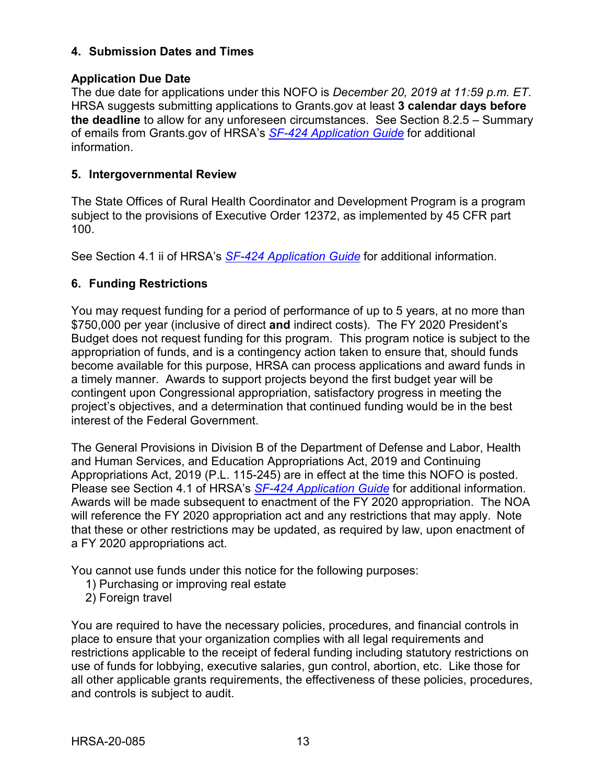### <span id="page-16-0"></span>**4. Submission Dates and Times**

### **Application Due Date**

The due date for applications under this NOFO is *December 20, 2019 at 11:59 p.m. ET*. HRSA suggests submitting applications to Grants.gov at least **3 calendar days before the deadline** to allow for any unforeseen circumstances. See Section 8.2.5 – Summary of emails from Grants.gov of HRSA's *[SF-424 Application Guide](http://www.hrsa.gov/grants/apply/applicationguide/sf424guide.pdf)* for additional information.

#### <span id="page-16-1"></span>**5. Intergovernmental Review**

The State Offices of Rural Health Coordinator and Development Program is a program subject to the provisions of Executive Order 12372, as implemented by 45 CFR part 100.

See Section 4.1 ii of HRSA's *SF-424 [Application Guide](http://www.hrsa.gov/grants/apply/applicationguide/sf424guide.pdf)* for additional information.

## <span id="page-16-2"></span>**6. Funding Restrictions**

You may request funding for a period of performance of up to 5 years, at no more than \$750,000 per year (inclusive of direct **and** indirect costs). The FY 2020 President's Budget does not request funding for this program. This program notice is subject to the appropriation of funds, and is a contingency action taken to ensure that, should funds become available for this purpose, HRSA can process applications and award funds in a timely manner. Awards to support projects beyond the first budget year will be contingent upon Congressional appropriation, satisfactory progress in meeting the project's objectives, and a determination that continued funding would be in the best interest of the Federal Government.

The General Provisions in Division B of the Department of Defense and Labor, Health and Human Services, and Education Appropriations Act, 2019 and Continuing Appropriations Act, 2019 (P.L. 115-245) are in effect at the time this NOFO is posted. Please see Section 4.1 of HRSA's *SF-424 [Application Guide](http://www.hrsa.gov/grants/apply/applicationguide/sf424guide.pdf)* for additional information. Awards will be made subsequent to enactment of the FY 2020 appropriation. The NOA will reference the FY 2020 appropriation act and any restrictions that may apply. Note that these or other restrictions may be updated, as required by law, upon enactment of a FY 2020 appropriations act.

You cannot use funds under this notice for the following purposes:

- 1) Purchasing or improving real estate
- 2) Foreign travel

You are required to have the necessary policies, procedures, and financial controls in place to ensure that your organization complies with all legal requirements and restrictions applicable to the receipt of federal funding including statutory restrictions on use of funds for lobbying, executive salaries, gun control, abortion, etc. Like those for all other applicable grants requirements, the effectiveness of these policies, procedures, and controls is subject to audit.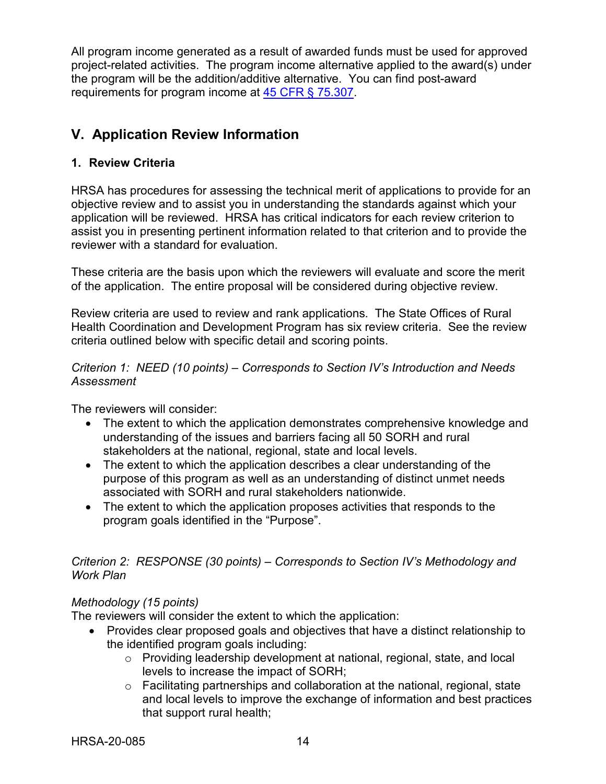All program income generated as a result of awarded funds must be used for approved project-related activities. The program income alternative applied to the award(s) under the program will be the addition/additive alternative. You can find post-award requirements for program income at [45 CFR § 75.307.](https://www.ecfr.gov/cgi-bin/retrieveECFR?gp=1&SID=4d52364ec83fab994c665943dadf9cf7&ty=HTML&h=L&r=PART&n=pt45.1.75)

## <span id="page-17-0"></span>**V. Application Review Information**

## <span id="page-17-1"></span>**1. Review Criteria**

HRSA has procedures for assessing the technical merit of applications to provide for an objective review and to assist you in understanding the standards against which your application will be reviewed. HRSA has critical indicators for each review criterion to assist you in presenting pertinent information related to that criterion and to provide the reviewer with a standard for evaluation.

These criteria are the basis upon which the reviewers will evaluate and score the merit of the application. The entire proposal will be considered during objective review.

Review criteria are used to review and rank applications. The State Offices of Rural Health Coordination and Development Program has six review criteria. See the review criteria outlined below with specific detail and scoring points.

#### *Criterion 1: NEED (10 points) – Corresponds to Section IV's Introduction and Needs Assessment*

The reviewers will consider:

- The extent to which the application demonstrates comprehensive knowledge and understanding of the issues and barriers facing all 50 SORH and rural stakeholders at the national, regional, state and local levels.
- The extent to which the application describes a clear understanding of the purpose of this program as well as an understanding of distinct unmet needs associated with SORH and rural stakeholders nationwide.
- The extent to which the application proposes activities that responds to the program goals identified in the "Purpose".

#### *Criterion 2: RESPONSE (30 points) – Corresponds to Section IV's Methodology and Work Plan*

## *Methodology (15 points)*

The reviewers will consider the extent to which the application:

- Provides clear proposed goals and objectives that have a distinct relationship to the identified program goals including:
	- o Providing leadership development at national, regional, state, and local levels to increase the impact of SORH;
	- o Facilitating partnerships and collaboration at the national, regional, state and local levels to improve the exchange of information and best practices that support rural health;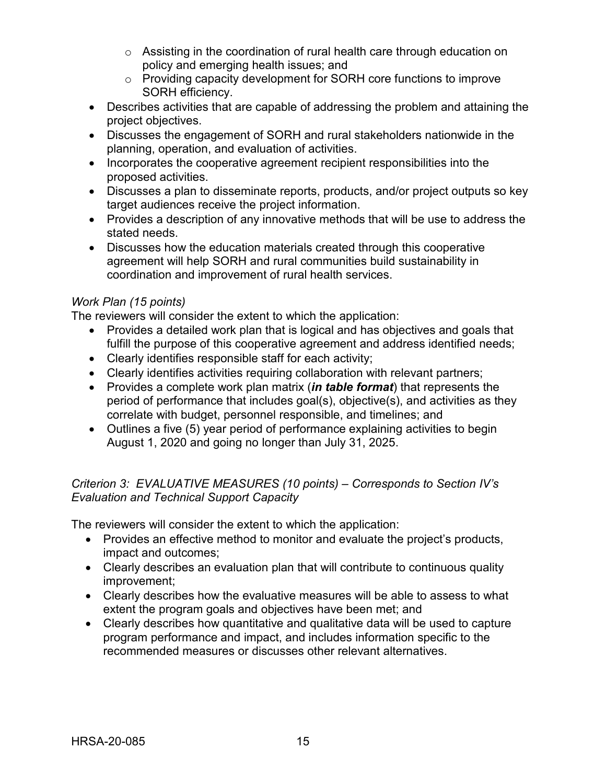- o Assisting in the coordination of rural health care through education on policy and emerging health issues; and
- o Providing capacity development for SORH core functions to improve SORH efficiency.
- Describes activities that are capable of addressing the problem and attaining the project objectives.
- Discusses the engagement of SORH and rural stakeholders nationwide in the planning, operation, and evaluation of activities.
- Incorporates the cooperative agreement recipient responsibilities into the proposed activities.
- Discusses a plan to disseminate reports, products, and/or project outputs so key target audiences receive the project information.
- Provides a description of any innovative methods that will be use to address the stated needs.
- Discusses how the education materials created through this cooperative agreement will help SORH and rural communities build sustainability in coordination and improvement of rural health services.

## *Work Plan (15 points)*

The reviewers will consider the extent to which the application:

- Provides a detailed work plan that is logical and has objectives and goals that fulfill the purpose of this cooperative agreement and address identified needs;
- Clearly identifies responsible staff for each activity;
- Clearly identifies activities requiring collaboration with relevant partners;
- Provides a complete work plan matrix (*in table format*) that represents the period of performance that includes goal(s), objective(s), and activities as they correlate with budget, personnel responsible, and timelines; and
- Outlines a five (5) year period of performance explaining activities to begin August 1, 2020 and going no longer than July 31, 2025.

## *Criterion 3: EVALUATIVE MEASURES (10 points) – Corresponds to Section IV's Evaluation and Technical Support Capacity*

The reviewers will consider the extent to which the application:

- Provides an effective method to monitor and evaluate the project's products, impact and outcomes;
- Clearly describes an evaluation plan that will contribute to continuous quality improvement;
- Clearly describes how the evaluative measures will be able to assess to what extent the program goals and objectives have been met; and
- Clearly describes how quantitative and qualitative data will be used to capture program performance and impact, and includes information specific to the recommended measures or discusses other relevant alternatives.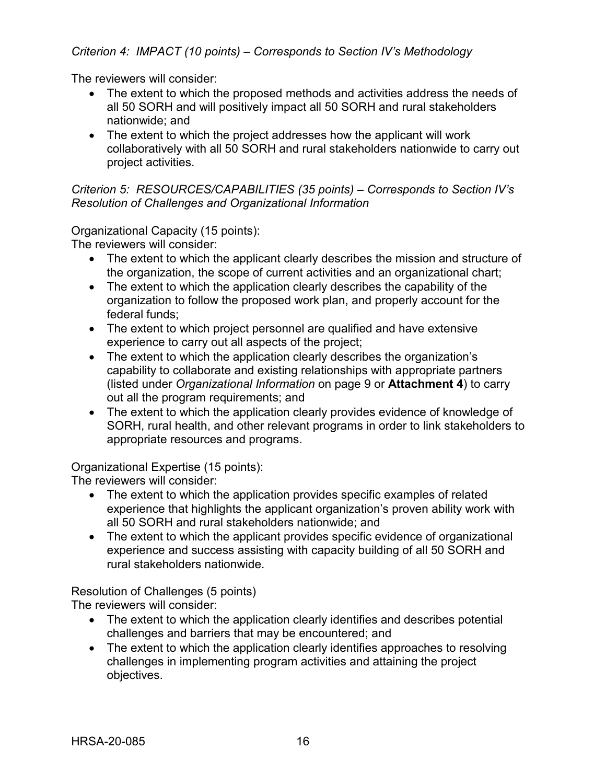The reviewers will consider:

- The extent to which the proposed methods and activities address the needs of all 50 SORH and will positively impact all 50 SORH and rural stakeholders nationwide; and
- The extent to which the project addresses how the applicant will work collaboratively with all 50 SORH and rural stakeholders nationwide to carry out project activities.

*Criterion 5: RESOURCES/CAPABILITIES (35 points) – Corresponds to Section IV's Resolution of Challenges and Organizational Information*

Organizational Capacity (15 points):

The reviewers will consider:

- The extent to which the applicant clearly describes the mission and structure of the organization, the scope of current activities and an organizational chart;
- The extent to which the application clearly describes the capability of the organization to follow the proposed work plan, and properly account for the federal funds;
- The extent to which project personnel are qualified and have extensive experience to carry out all aspects of the project;
- The extent to which the application clearly describes the organization's capability to collaborate and existing relationships with appropriate partners (listed under *Organizational Information* on page 9 or **Attachment 4**) to carry out all the program requirements; and
- The extent to which the application clearly provides evidence of knowledge of SORH, rural health, and other relevant programs in order to link stakeholders to appropriate resources and programs.

Organizational Expertise (15 points):

The reviewers will consider:

- The extent to which the application provides specific examples of related experience that highlights the applicant organization's proven ability work with all 50 SORH and rural stakeholders nationwide; and
- The extent to which the applicant provides specific evidence of organizational experience and success assisting with capacity building of all 50 SORH and rural stakeholders nationwide.

Resolution of Challenges (5 points) The reviewers will consider:

- The extent to which the application clearly identifies and describes potential challenges and barriers that may be encountered; and
- The extent to which the application clearly identifies approaches to resolving challenges in implementing program activities and attaining the project objectives.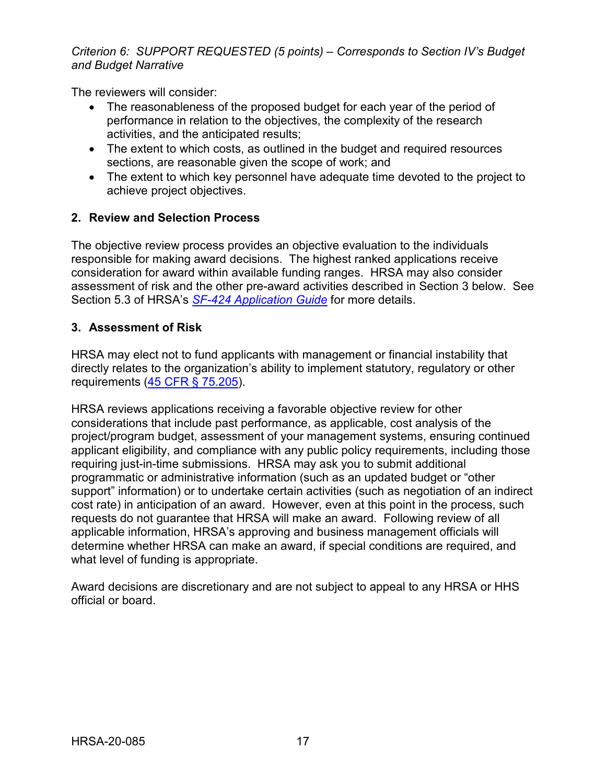*Criterion 6: SUPPORT REQUESTED (5 points) – Corresponds to Section IV's Budget and Budget Narrative* 

The reviewers will consider:

- The reasonableness of the proposed budget for each year of the period of performance in relation to the objectives, the complexity of the research activities, and the anticipated results;
- The extent to which costs, as outlined in the budget and required resources sections, are reasonable given the scope of work; and
- The extent to which key personnel have adequate time devoted to the project to achieve project objectives.

## <span id="page-20-0"></span>**2. Review and Selection Process**

The objective review process provides an objective evaluation to the individuals responsible for making award decisions. The highest ranked applications receive consideration for award within available funding ranges. HRSA may also consider assessment of risk and the other pre-award activities described in Section 3 below. See Section 5.3 of HRSA's *SF-424 [Application Guide](http://www.hrsa.gov/grants/apply/applicationguide/sf424guide.pdf)* for more details.

#### <span id="page-20-1"></span>**3. Assessment of Risk**

HRSA may elect not to fund applicants with management or financial instability that directly relates to the organization's ability to implement statutory, regulatory or other requirements [\(45 CFR § 75.205\)](https://www.ecfr.gov/cgi-bin/retrieveECFR?gp=1&SID=4d52364ec83fab994c665943dadf9cf7&ty=HTML&h=L&r=PART&n=pt45.1.75).

HRSA reviews applications receiving a favorable objective review for other considerations that include past performance, as applicable, cost analysis of the project/program budget, assessment of your management systems, ensuring continued applicant eligibility, and compliance with any public policy requirements, including those requiring just-in-time submissions. HRSA may ask you to submit additional programmatic or administrative information (such as an updated budget or "other support" information) or to undertake certain activities (such as negotiation of an indirect cost rate) in anticipation of an award. However, even at this point in the process, such requests do not guarantee that HRSA will make an award. Following review of all applicable information, HRSA's approving and business management officials will determine whether HRSA can make an award, if special conditions are required, and what level of funding is appropriate.

Award decisions are discretionary and are not subject to appeal to any HRSA or HHS official or board.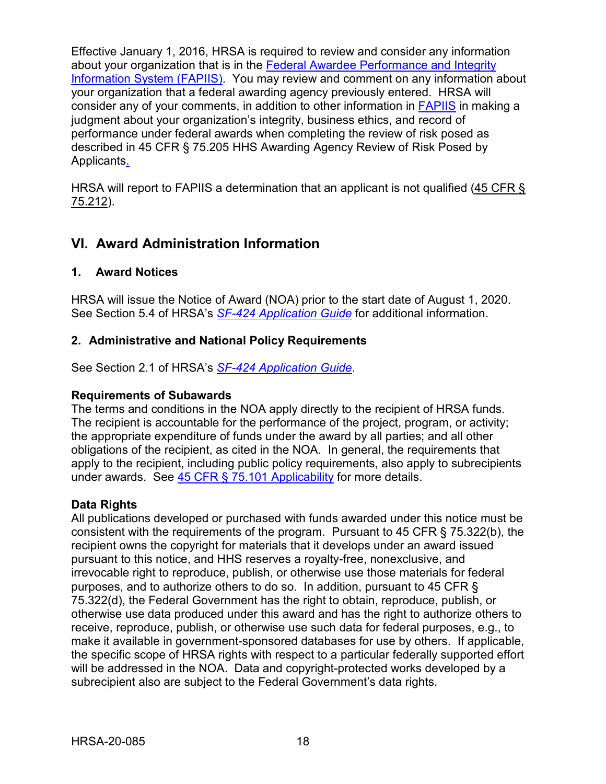Effective January 1, 2016, HRSA is required to review and consider any information about your organization that is in the [Federal Awardee Performance and Integrity](https://www.fapiis.gov/)  [Information System \(FAPIIS\).](https://www.fapiis.gov/) You may review and comment on any information about your organization that a federal awarding agency previously entered. HRSA will consider any of your comments, in addition to other information in [FAPIIS](https://www.fapiis.gov/) in making a judgment about your organization's integrity, business ethics, and record of performance under federal awards when completing the review of risk posed as described in [45 CFR § 75.205 HHS Awarding Agency Review of Risk Posed by](https://www.ecfr.gov/cgi-bin/retrieveECFR?gp=1&SID=4d52364ec83fab994c665943dadf9cf7&ty=HTML&h=L&r=PART&n=pt45.1.75)  [Applicants.](https://www.ecfr.gov/cgi-bin/retrieveECFR?gp=1&SID=4d52364ec83fab994c665943dadf9cf7&ty=HTML&h=L&r=PART&n=pt45.1.75)

HRSA will report to FAPIIS a determination that an applicant is not qualified [\(45 CFR §](https://www.ecfr.gov/cgi-bin/retrieveECFR?gp=1&SID=4d52364ec83fab994c665943dadf9cf7&ty=HTML&h=L&r=PART&n=pt45.1.75)  [75.212\)](https://www.ecfr.gov/cgi-bin/retrieveECFR?gp=1&SID=4d52364ec83fab994c665943dadf9cf7&ty=HTML&h=L&r=PART&n=pt45.1.75).

## <span id="page-21-0"></span>**VI. Award Administration Information**

#### <span id="page-21-1"></span>**1. Award Notices**

HRSA will issue the Notice of Award (NOA) prior to the start date of August 1, 2020. See Section 5.4 of HRSA's *SF-424 [Application Guide](http://www.hrsa.gov/grants/apply/applicationguide/sf424guide.pdf)* for additional information.

## <span id="page-21-2"></span>**2. Administrative and National Policy Requirements**

See Section 2.1 of HRSA's *SF-424 [Application Guide](http://www.hrsa.gov/grants/apply/applicationguide/sf424guide.pdf)*.

#### **Requirements of Subawards**

The terms and conditions in the NOA apply directly to the recipient of HRSA funds. The recipient is accountable for the performance of the project, program, or activity; the appropriate expenditure of funds under the award by all parties; and all other obligations of the recipient, as cited in the NOA. In general, the requirements that apply to the recipient, including public policy requirements, also apply to subrecipients under awards. See [45 CFR § 75.101 Applicability](https://www.ecfr.gov/cgi-bin/retrieveECFR?gp=1&SID=4d52364ec83fab994c665943dadf9cf7&ty=HTML&h=L&r=PART&n=pt45.1.75) for more details.

## **Data Rights**

All publications developed or purchased with funds awarded under this notice must be consistent with the requirements of the program. Pursuant to 45 CFR § 75.322(b), the recipient owns the copyright for materials that it develops under an award issued pursuant to this notice, and HHS reserves a royalty-free, nonexclusive, and irrevocable right to reproduce, publish, or otherwise use those materials for federal purposes, and to authorize others to do so. In addition, pursuant to 45 CFR § 75.322(d), the Federal Government has the right to obtain, reproduce, publish, or otherwise use data produced under this award and has the right to authorize others to receive, reproduce, publish, or otherwise use such data for federal purposes, e.g., to make it available in government-sponsored databases for use by others. If applicable, the specific scope of HRSA rights with respect to a particular federally supported effort will be addressed in the NOA. Data and copyright-protected works developed by a subrecipient also are subject to the Federal Government's data rights.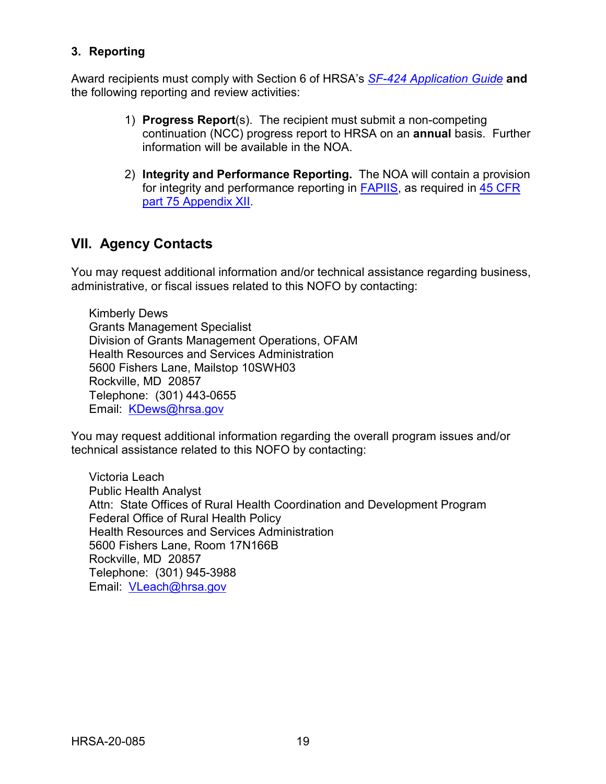## <span id="page-22-0"></span>**3. Reporting**

Award recipients must comply with Section 6 of HRSA's *SF-424 [Application Guide](http://www.hrsa.gov/grants/apply/applicationguide/sf424guide.pdf)* **and** the following reporting and review activities:

- 1) **Progress Report**(s). The recipient must submit a non-competing continuation (NCC) progress report to HRSA on an **annual** basis. Further information will be available in the NOA.
- 2) **Integrity and Performance Reporting.** The NOA will contain a provision for integrity and performance reporting in [FAPIIS,](https://www.fapiis.gov/) as required in [45 CFR](https://www.ecfr.gov/cgi-bin/retrieveECFR?gp=1&SID=4d52364ec83fab994c665943dadf9cf7&ty=HTML&h=L&r=PART&n=pt45.1.75)  [part 75 Appendix XII.](https://www.ecfr.gov/cgi-bin/retrieveECFR?gp=1&SID=4d52364ec83fab994c665943dadf9cf7&ty=HTML&h=L&r=PART&n=pt45.1.75)

## <span id="page-22-1"></span>**VII. Agency Contacts**

You may request additional information and/or technical assistance regarding business, administrative, or fiscal issues related to this NOFO by contacting:

Kimberly Dews Grants Management Specialist Division of Grants Management Operations, OFAM Health Resources and Services Administration 5600 Fishers Lane, Mailstop 10SWH03 Rockville, MD 20857 Telephone: (301) 443-0655 Email: [KDews@hrsa.gov](mailto:KDews@hrsa.gov)

You may request additional information regarding the overall program issues and/or technical assistance related to this NOFO by contacting:

Victoria Leach Public Health Analyst Attn: State Offices of Rural Health Coordination and Development Program Federal Office of Rural Health Policy Health Resources and Services Administration 5600 Fishers Lane, Room 17N166B Rockville, MD 20857 Telephone: (301) 945-3988 Email: [VLeach@hrsa.gov](mailto:VLeach@hrsa.gov)